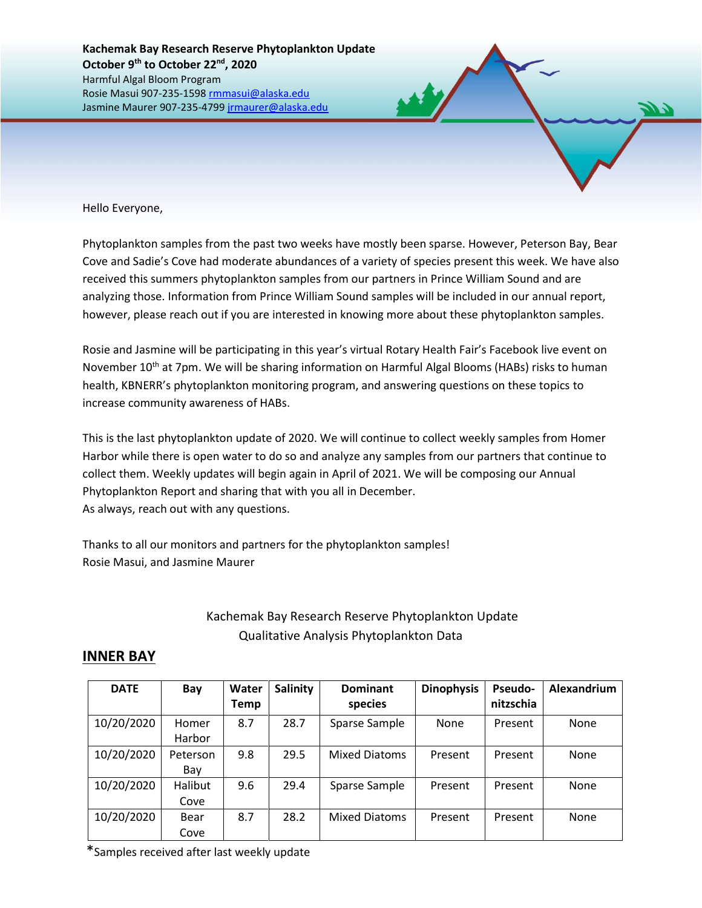Hello Everyone,

Phytoplankton samples from the past two weeks have mostly been sparse. However, Peterson Bay, Bear Cove and Sadie's Cove had moderate abundances of a variety of species present this week. We have also received this summers phytoplankton samples from our partners in Prince William Sound and are analyzing those. Information from Prince William Sound samples will be included in our annual report, however, please reach out if you are interested in knowing more about these phytoplankton samples.

Rosie and Jasmine will be participating in this year's virtual Rotary Health Fair's Facebook live event on November 10<sup>th</sup> at 7pm. We will be sharing information on Harmful Algal Blooms (HABs) risks to human health, KBNERR's phytoplankton monitoring program, and answering questions on these topics to increase community awareness of HABs.

This is the last phytoplankton update of 2020. We will continue to collect weekly samples from Homer Harbor while there is open water to do so and analyze any samples from our partners that continue to collect them. Weekly updates will begin again in April of 2021. We will be composing our Annual Phytoplankton Report and sharing that with you all in December. As always, reach out with any questions.

Thanks to all our monitors and partners for the phytoplankton samples! Rosie Masui, and Jasmine Maurer

## Kachemak Bay Research Reserve Phytoplankton Update Qualitative Analysis Phytoplankton Data

## **INNER BAY**

| <b>DATE</b> | Bay             | Water<br>Temp | <b>Salinity</b> | <b>Dominant</b><br>species | <b>Dinophysis</b> | <b>Pseudo-</b><br>nitzschia | Alexandrium |
|-------------|-----------------|---------------|-----------------|----------------------------|-------------------|-----------------------------|-------------|
| 10/20/2020  | Homer<br>Harbor | 8.7           | 28.7            | Sparse Sample              | None              | Present                     | None        |
| 10/20/2020  | Peterson<br>Bay | 9.8           | 29.5            | <b>Mixed Diatoms</b>       | Present           | Present                     | None        |
| 10/20/2020  | Halibut<br>Cove | 9.6           | 29.4            | Sparse Sample              | Present           | Present                     | None        |
| 10/20/2020  | Bear<br>Cove    | 8.7           | 28.2            | <b>Mixed Diatoms</b>       | Present           | Present                     | None        |

\*Samples received after last weekly update